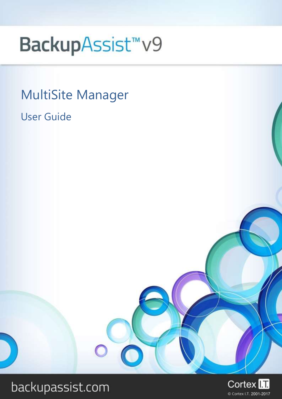# BackupAssist<sup>™</sup>v9

MultiSite Manager User Guide

# backupassist.com

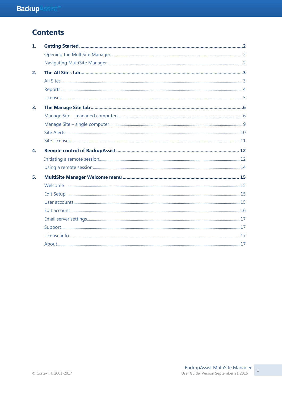# **Contents**

| 1. |  |
|----|--|
|    |  |
|    |  |
| 2. |  |
|    |  |
|    |  |
|    |  |
| 3. |  |
|    |  |
|    |  |
|    |  |
|    |  |
| 4. |  |
|    |  |
|    |  |
| 5. |  |
|    |  |
|    |  |
|    |  |
|    |  |
|    |  |
|    |  |
|    |  |
|    |  |

 $\mathbf 1$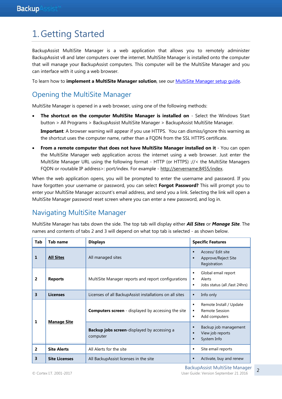# 1.Getting Started

BackupAssist MultiSite Manager is a web application that allows you to remotely administer BackupAssist v8 and later computers over the internet. MultiSite Manager is installed onto the computer that will manage your BackupAssist computers. This computer will be the MultiSite Manager and you can interface with it using a web browser.

To learn how to **implement a MultiSite Manager solution**, see our [MultiSite Manager setup guide.](http://www.backupassist.com/education/v9/multisite-manager/multisite-manager-setup-guide.html)

# Opening the MultiSite Manager

MultiSite Manager is opened in a web browser, using one of the following methods:

 **The shortcut on the computer MultiSite Manager is installed on** - Select the Windows Start button > All Programs > BackupAssist MultiSite Manager > BackupAssist MultiSite Manager. **Important**: A browser warning will appear if you use HTTPS. You can dismiss/ignore this warning as

the shortcut uses the computer name, rather than a FQDN from the SSL HTTPS certificate.

 **From a remote computer that does not have MultiSite Manager installed on it** - You can open the MultiSite Manager web application across the internet using a web browser. Just enter the MultiSite Manager URL using the following format - HTTP (or HTTPS) ://< the MultiSite Managers FQDN or routable IP address>: port/index. For example - [http://servername:8455/index.](http://servername:8455/index) 

When the web application opens, you will be prompted to enter the username and password. If you have forgotten your username or password, you can select **Forgot Password?** This will prompt you to enter your MultiSite Manager account's email address, and send you a link. Selecting the link will open a MultiSite Manager password reset screen where you can enter a new password, and log in.

# Navigating MultiSite Manager

MultiSite Manager has tabs down the side. The top tab will display either *All Sites* or *Manage Site*. The names and contents of tabs 2 and 3 will depend on what top tab is selected - as shown below.

| Tab                     | <b>Tab name</b>      | <b>Displays</b>                                                 | <b>Specific Features</b>                                                      |
|-------------------------|----------------------|-----------------------------------------------------------------|-------------------------------------------------------------------------------|
| 1                       | <b>All Sites</b>     | All managed sites                                               | Access/ Edit site<br>Approve/Reject Site<br>п<br>Registration                 |
| $\overline{2}$          | <b>Reports</b>       | MultiSite Manager reports and report configurations             | Global email report<br>٠<br>Alerts<br>٠<br>Jobs status (all /last 24hrs)<br>٠ |
| $\overline{\mathbf{3}}$ | <b>Licenses</b>      | Licenses of all BackupAssist installations on all sites         | Info only<br>٠                                                                |
| $\mathbf 1$             |                      | <b>Computers screen</b> - displayed by accessing the site       | Remote Install / Update<br><b>Remote Session</b><br>٠<br>Add computers<br>٠   |
|                         | <b>Manage Site</b>   | <b>Backup jobs screen</b> -displayed by accessing a<br>computer | Backup job management<br>п<br>View job reports<br>п<br>System Info<br>▪       |
| $\overline{2}$          | <b>Site Alerts</b>   | All Alerts for the site                                         | Site email reports<br>٠                                                       |
| 3                       | <b>Site Licenses</b> | All BackupAssist licenses in the site                           | Activate, buy and renew<br>п                                                  |

BackupAssist MultiSite Manager © Cortex I.T. 2001-2017 User Guide: Version September 21 2016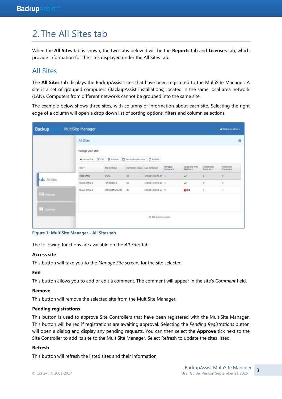# 2. The All Sites tab

When the **All Sites** tab is shown, the two tabs below it will be the **Reports** tab and **Licenses** tab, which provide information for the sites displayed under the All Sites tab.

# All Sites

The **All Sites** tab displays the BackupAssist sites that have been registered to the MultiSite Manager. A site is a set of grouped computers (BackupAssist installations) located in the same local area network (LAN). Computers from different networks cannot be grouped into the same site.

The example below shows three sites, with columns of information about each site. Selecting the right edge of a column will open a drop down list of sorting options, filters and column selections.

| Backup              | MultiSite Manager                                                       |                   |                                  |                                                |                       |                                    |                          | A Welcome admin +             |
|---------------------|-------------------------------------------------------------------------|-------------------|----------------------------------|------------------------------------------------|-----------------------|------------------------------------|--------------------------|-------------------------------|
|                     | All Sites                                                               |                   |                                  |                                                |                       |                                    |                          | $\Theta$                      |
|                     | Manage your stes<br>I CATALOG TA                                        |                   |                                  |                                                |                       |                                    |                          |                               |
|                     | () Access Ste (2) Edit   @ Renove   @ Pending Registrations   @ Refinsh |                   |                                  |                                                |                       |                                    |                          |                               |
|                     | the v                                                                   | Six Curitoler     | Connection Status Last Contected |                                                | Managed<br>Consulters | Consumer With<br><b>Job Errors</b> | Limwachable<br>Camputers | <b>Unicemped</b><br>Computers |
| <b>da</b> All Sites | <b>Head Office</b>                                                      | WS-RI-            | œ                                | 6/30/2014 15:46 a/i 1                          |                       | U                                  | 0                        | jä.                           |
| 58 NATORI           | Tranch Office 2                                                         | 14-2008R2-7       | Dk                               | 6/20/2014 10:46 am 1<br><b><i>DOMESTIC</i></b> |                       | v                                  | $\sigma$                 | g.                            |
| <b>Lail</b> Reports | Branch Office 1                                                         | WITH LUSS & NAURO | <b>Dk</b>                        | 8/30/2014 10:46 am 3                           |                       | QX1                                | 41                       | $\cdot$                       |
| <b>NE</b> tiomes    |                                                                         |                   |                                  |                                                |                       |                                    |                          |                               |
|                     |                                                                         |                   |                                  | C 2014 BitkipAsmt                              |                       |                                    |                          |                               |

**Figure 1: MultiSite Manager - All Sites tab**

The following functions are available on the *All Sites* tab:

#### **Access site**

This button will take you to the *Manage Site* screen, for the site selected.

#### **Edit**

This button allows you to add or edit a comment. The comment will appear in the site's *Comment* field.

#### **Remove**

This button will remove the selected site from the MultiSite Manager.

#### **Pending registrations**

This button is used to approve Site Controllers that have been registered with the MultiSite Manager. This button will be red if registrations are awaiting approval. Selecting the *Pending Registrations* button will open a dialog and display any pending requests. You can then select the **Approve** tick next to the Site Controller to add its site to the MultiSite Manager. Select Refresh to update the sites listed.

#### **Refresh**

This button will refresh the listed sites and their information.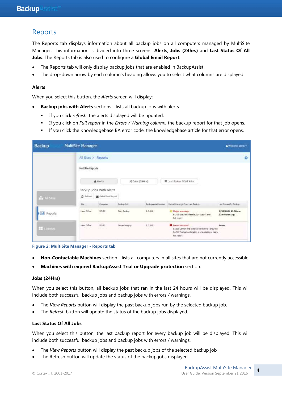# Reports

The Reports tab displays information about all backup jobs on all computers managed by MultiSite Manager. This information is divided into three screens: **Alerts**, **Jobs (24hrs)** and **Last Status Of All Jobs**. The Reports tab is also used to configure a **Global Email Report**.

- The Reports tab will only display backup jobs that are enabled in BackupAssist.
- The drop-down arrow by each column's heading allows you to select what columns are displayed.

#### **Alerts**

When you select this button, the *Alerts* screen will display:

- **Backup jobs with Alerts** sections lists all backup jobs with alerts.
	- If you click *refresh*, the alerts displayed will be updated.
	- If you click on *Full report* in the *Errors / Warning column,* the backup report for that job opens.
	- If you click the Knowledgebase BA error code, the knowledgebase article for that error opens.

| Backup              | MultiSite Manager |                                                     |                             |                |                            |                                                                                                                                                    | & Wekome admin +                     |
|---------------------|-------------------|-----------------------------------------------------|-----------------------------|----------------|----------------------------|----------------------------------------------------------------------------------------------------------------------------------------------------|--------------------------------------|
|                     |                   |                                                     | All Sites > Reports         |                |                            |                                                                                                                                                    | $\Omega$                             |
|                     |                   | MultiSite Reports<br>standards and the state of the |                             |                |                            |                                                                                                                                                    |                                      |
|                     |                   |                                                     | A Alerts                    |                | $Q$ Jobs $(24Hn)$          | 国 Last Status Of All Jobs                                                                                                                          |                                      |
|                     |                   |                                                     | Backup Jobs With Alerts     |                |                            |                                                                                                                                                    |                                      |
| dis All Sites       |                   | C Reflexib                                          | St Global Email Report      |                |                            |                                                                                                                                                    |                                      |
|                     |                   | Ste                                                 | Computer                    | Backup Job     | <b>BackupAssut Version</b> | Einers/Warnings From Last Backup                                                                                                                   | Last Successful Backup               |
| <b>Jul</b> Reports  |                   | Head Office                                         | W5-RI<br>um an              | Daily Backup   | 8.0.1t1                    | <b>A. Player scarrings</b><br>B4703 Specified file selection doesn't exist.<br>사이에서 아이는 방문에 오르치면<br>Full report                                    | 6/30/2014 11:00 am<br>22 minutes ago |
| <b>III</b> Licenses |                   | Head Office                                         | 3.5.4.4.3<br>WS-RE<br>VG-90 | Server insigno | 8.0.111<br>na bib          | <b>O</b> trrors occurred<br>BA235 Cannot find external hard drive - ensure it<br>5A707 The backup location is unavailable or has b-<br>Full report | actor (m)<br><b>Never</b>            |

**Figure 2: MultiSite Manager - Reports tab**

- **Non-Contactable Machines** section lists all computers in all sites that are not currently accessible.
- **Machines with expired BackupAssist Trial or Upgrade protection** section.

#### **Jobs (24Hrs)**

When you select this button, all backup jobs that ran in the last 24 hours will be displayed. This will include both successful backup jobs and backup jobs with errors / warnings.

- The *View Reports* button will display the past backup jobs run by the selected backup job.
- The *Refresh* button will update the status of the backup jobs displayed.

#### **Last Status Of All Jobs**

When you select this button, the last backup report for every backup job will be displayed. This will include both successful backup jobs and backup jobs with errors / warnings.

- The *View Reports* button will display the past backup jobs of the selected backup job
- The Refresh button will update the status of the backup jobs displayed.

 $\Delta$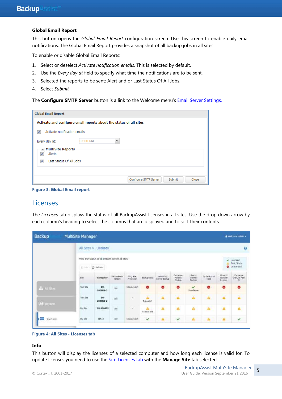#### **Global Email Report**

This button opens the *Global Email Report* configuration screen. Use this screen to enable daily email notifications. The Global Email Report provides a snapshot of all backup jobs in all sites.

To enable or disable Global Email Reports:

- 1. Select or deselect *Activate notification emails.* This is selected by default.
- 2. Use the *Every day at* field to specify what time the notifications are to be sent.
- 3. Selected the reports to be sent: Alert and or Last Status Of All Jobs.
- 4. Select *Submit.*

The **Configure SMTP Server** button is a link to the Welcome menu's **[Email Server Settings.](#page-17-0)** 

| <b>Global Email Report</b>                               |                                                                    |
|----------------------------------------------------------|--------------------------------------------------------------------|
|                                                          | Activate and configure email reports about the status of all sites |
| Activate notification emails<br>V                        |                                                                    |
| Every day at:                                            | 03:00 PM<br>$\checkmark$                                           |
| ▲ MultiSite Reports<br>Alerts<br>$\overline{\mathsf{v}}$ |                                                                    |
| Last Status Of All Jobs<br>⊽                             |                                                                    |
|                                                          |                                                                    |
|                                                          | Configure SMTP Server<br>Close<br>Submit                           |

**Figure 3: Global Email report**

### <span id="page-5-0"></span>Licenses

The *Licenses* tab displays the status of all BackupAssist licenses in all sites. Use the drop down arrow by each column's heading to select the columns that are displayed and to sort their contents.

| Backup              | MultiSite Manager |                                                              |                                |                        |                    |                             |                              |                             |                       |                                | A Welcomi admin -                             |
|---------------------|-------------------|--------------------------------------------------------------|--------------------------------|------------------------|--------------------|-----------------------------|------------------------------|-----------------------------|-----------------------|--------------------------------|-----------------------------------------------|
|                     |                   | All Sites > Licenses<br>n cana                               |                                |                        |                    |                             |                              |                             |                       |                                | ø                                             |
|                     | 1.36.             | View the status of all icenses across all sites<br>C Reftest |                                |                        |                    |                             |                              |                             |                       | v.                             | Licensed<br>Toal / Beta<br><b>O</b> Unicersed |
|                     | <b>Site</b>       | <b>Computer</b>                                              | <b>Beckup Assor</b><br>Variage | Lipgrade<br>Protection | Backgwast.         | Native SQL<br>Server Backup | Exthange<br>Maibox<br>Backup | Raync<br>Internet<br>Backup | Tit Backup to<br>Tape | Hyper-V<br>Granular<br>Restore | Exchange<br>Granular Add-<br>"On              |
| de al Ste-          | Tast Ste          | $114-$<br>2008R2-3                                           | 3.0                            | 541 days left          | $\bullet$          | $\bullet$                   | ۰                            | v<br>Standalone             | ٠                     | ۰                              | ۰                                             |
| <b>Life Reports</b> | Test Ste          | $186 -$<br>3008R2-2                                          | 8.6                            | ×                      | Α<br>5 days left   | А                           | $\Delta$                     | Ä                           | 画                     | A                              | Ä                                             |
|                     | My Ste            | 2002/03<br>IH-200882<br>÷                                    | 3.0<br>æ                       | ×                      | ÷<br>93 days laft. | А                           | $\mathbf{a}$                 | A                           | A                     | A                              | Ä                                             |
| <b>El</b> Licenses  | Ny Site           | $W5-3$                                                       | b.c.                           | S41 days left          | v                  | А                           | v                            | A                           | $\mathbf{A}$          | $\Delta$                       | v                                             |



#### **Info**

This button will display the licenses of a selected computer and how long each license is valid for. To update licenses you need to use the [Site Licenses tab](#page-11-0) with the **Manage Site** tab selected

5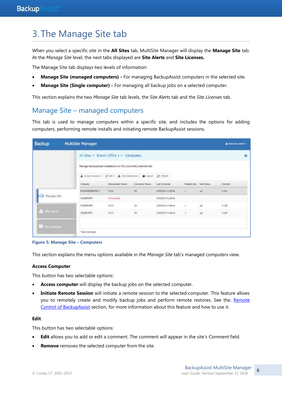# 3. The Manage Site tab

When you select a specific site in the **All Sites** tab, MultiSite Manager will display the **Manage Site** tab. At the *Manage Site* level, the next tabs displayed are **Site Alerts** and **Site Licenses.** 

The Manage Site tab displays two levels of information:

- **Manage Site (managed computers) -** For managing BackupAssist computers in the selected site.
- **Manage Site (Single computer) -** For managing all backup jobs on a selected computer.

This section explains the two *Manage Site* tab levels, the *Site Alerts* tab and the *Site Licenses* tab.

# Manage Site – managed computers

This tab is used to manage computers within a specific site, and includes the options for adding computers, performing remote installs and initiating remote BackupAssist sessions.

| <b>Backup</b>            | <b>MultiSite Manager</b> |                                                                   |                                                  |                     |                                  |                  | Wekome admin =  |  |  |  |
|--------------------------|--------------------------|-------------------------------------------------------------------|--------------------------------------------------|---------------------|----------------------------------|------------------|-----------------|--|--|--|
|                          |                          | All Sites > Branch Office 1 > Computers                           |                                                  |                     |                                  |                  |                 |  |  |  |
|                          |                          | Manage BackupAssist instalations on the (currently) selected site |                                                  |                     |                                  |                  |                 |  |  |  |
|                          |                          | Access Computer - 2 Edi - & Ste Installations - @ Support         |                                                  | C Refresh           |                                  |                  |                 |  |  |  |
|                          | Computer                 | Satis pAssist Vereign                                             | Constitution of Partial Ave<br>Cornection Status | Last Comarted       | <b>Erabled Jobs</b> 3teha Status |                  | Connect         |  |  |  |
|                          | EXCHANGESERVER.1.T.      | 8.0.0                                                             | $\langle 00 \rangle$                             | 6/30/2014 11:20 pm  |                                  | v                | 6.161           |  |  |  |
| <sup>6</sup> Manage Site | FILESBR/ER2              | <b>CONTRACTOR</b><br>Not Literated                                |                                                  | 6/30/2014 11:26 am  |                                  |                  |                 |  |  |  |
|                          | FILETZERVERS             | 8.0.0                                                             | Oc.                                              | 0/30/2014 11:20 am  | $\overline{1}$                   | v                | 0.158           |  |  |  |
| Site Alerts              | 09/20/23<br>SQLSERVER 3  | 8.0.0                                                             | o.                                               | 6/30/2014 11:28 avv |                                  | <b>STAR</b><br>୰ | 122520<br>6.166 |  |  |  |
| <b>SE Site Licenses</b>  |                          |                                                                   |                                                  |                     |                                  |                  |                 |  |  |  |
|                          | * Site Controller        |                                                                   |                                                  |                     |                                  |                  |                 |  |  |  |

**Figure 5: Manage Site – Computers**

This section explains the menu options available in the *Manage Site* tab's managed computers view.

#### **Access Computer**

This button has two selectable options:

- **Access computer** will display the backup jobs on the selected computer.
- **Initiate Remote Session** will initiate a remote session to the selected computer. This feature allows you to remotely create and modify backup jobs and perform remote restores. See the, Remote [Control of BackupAssist](#page-12-0) section, for more information about this feature and how to use it.

#### **Edit**

This button has two selectable options:

- **Edit** allows you to add or edit a comment. The comment will appear in the site's *Comment* field.
- **Remove** removes the selected computer from the site.

6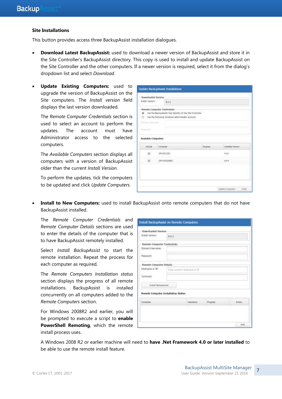#### **Site Installations**

This button provides access three BackupAssist installation dialogues.

- **Download Latest BackupAssist:** used to download a newer version of BackupAssist and store it in the Site Controller's BackupAssist directory. This copy is used to install and update BackupAssist on the Site Controller and the other computers. If a newer version is required, select it from the dialog's dropdown list and select *Download*.
- **Update Existing Computers:** used to upgrade the version of BackupAssist on the Site computers. The *Install version* field displays the last version downloaded.

The *Remote Computer Credentials* section is used to select an account to perform the updates. The account must have Administrator access to the selected computers.

The *Available Computers* section displays all computers with a version of BackupAssist older than the current *Install Version*.

To perform the updates, tick the computers to be updated and click *Update Computers.*

|                     | Downloaded Version                                        |          |                          |
|---------------------|-----------------------------------------------------------|----------|--------------------------|
| Install Version     | 9.0.1                                                     |          |                          |
|                     | Remote Computer Credentials                               |          |                          |
|                     | Use the BackupAssist User Identity of the Site Controller |          |                          |
| o                   | the the following Windows administrator account           |          |                          |
| <b>CONTRACTOR</b>   |                                                           |          |                          |
| Figure 111          |                                                           |          |                          |
|                     |                                                           |          |                          |
| Available Computers |                                                           |          |                          |
| <b>Include</b>      | Computer                                                  | Progress | <b>2xitalied Version</b> |
| 题:                  | TDA-53062R2                                               |          | 9.02                     |
| 图:                  | :JIM-5VR2008R2                                            |          | 3.64                     |
|                     |                                                           |          |                          |
|                     |                                                           |          |                          |
|                     |                                                           |          |                          |
|                     |                                                           |          |                          |

 **Install to New Computers:** used to install BackupAssist onto remote computers that do not have BackupAssist installed.

The *Remote Computer Credentials* and *Remote Computer Details* sections are used to enter the details of the computer that is to have BackupAssist remotely installed.

Select *Install BackupAssist* to start the remote installation. Repeat the process for each computer as required.

The *Remote Computers Installation status* section displays the progress of all remote installations. BackupAssist is installed concurrently on all computers added to the *Remote Computers* section.

For Windows 2008R2 and earlier, you will be prompted to execute a script to **enable PowerShell Remoting**, which the remote install process uses.

| <b>Downloaded Version</b>   |                                     |                  |          |        |
|-----------------------------|-------------------------------------|------------------|----------|--------|
| <b>Brittall Version:</b>    | 0.0.1                               |                  |          |        |
| Remote Computer Credentials |                                     |                  |          |        |
| Domain U.lsemamer           |                                     |                  |          |        |
| Pattword:                   |                                     |                  |          |        |
|                             |                                     |                  |          |        |
| Remote Computer Details     |                                     |                  |          |        |
| Hostname or D:              | Enter another Hostowne or \$5       |                  |          |        |
| Comment:                    |                                     |                  |          |        |
| <b>Jistail SackupAssist</b> |                                     |                  |          |        |
|                             |                                     |                  |          |        |
|                             | Remote Computer Installation Status |                  |          |        |
| Computer:                   |                                     | <b>Lisername</b> | Progress | Action |
|                             |                                     |                  |          |        |
|                             |                                     |                  |          |        |

A Windows 2008 R2 or earlier machine will need to **have .Net Framework 4.0 or later installed** to be able to use the remote install feature.

7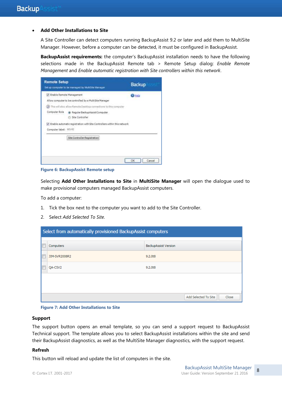#### **Add Other Installations to Site**

A Site Controller can detect computers running BackupAssist 9.2 or later and add them to MultiSite Manager. However, before a computer can be detected, it must be configured in BackupAssist.

**BackupAssist requirements:** the computer's BackupAssist installation needs to have the following selections made in the BackupAssist Remote tab > Remote Setup dialog: *Enable Remote Management* and *Enable automatic registration with Site controllers within this network*.

| <b>Remote Setup</b><br>Set up computer to be managed by MultiSite Manager | <b>Backup</b>                                                                                                                  |               |
|---------------------------------------------------------------------------|--------------------------------------------------------------------------------------------------------------------------------|---------------|
| Fishle Remote Management                                                  |                                                                                                                                | <b>O</b> Help |
|                                                                           | Allow computer to be controlled by a MultiSite Manager<br>(1) This will also allow Remote Desktop connections to this computer |               |
| Computer Role                                                             | <b>a</b> Regular BackupAssist Computer<br>Ste Controller                                                                       |               |
|                                                                           | A. Enable automatic registration with Ste Controllers within this network                                                      |               |
| Computer label: WS-RI                                                     |                                                                                                                                |               |
|                                                                           | Site Controller Registration                                                                                                   |               |
|                                                                           |                                                                                                                                | OK<br>Cancel  |

**Figure 6: BackupAssist Remote setup**

Selecting **Add Other Installations to Site** in **MultiSite Manager** will open the dialogue used to make provisional computers managed BackupAssist computers.

To add a computer:

- 1. Tick the box next to the computer you want to add to the Site Controller.
- 2. Select *Add Selected To Site*.

|   | Select from automatically provisioned BackupAssist computers |                               |  |  |  |  |  |  |  |  |
|---|--------------------------------------------------------------|-------------------------------|--|--|--|--|--|--|--|--|
| F | Computers                                                    | <b>BackupAssist Version</b>   |  |  |  |  |  |  |  |  |
| F | JIM-SVR2008R2                                                | 9.2.0t8                       |  |  |  |  |  |  |  |  |
|   | QA-CSV2                                                      | 9.2.0t8                       |  |  |  |  |  |  |  |  |
|   |                                                              |                               |  |  |  |  |  |  |  |  |
|   |                                                              |                               |  |  |  |  |  |  |  |  |
|   |                                                              | Add Selected To Site<br>Close |  |  |  |  |  |  |  |  |

**Figure 7: Add Other Installations to Site**

#### **Support**

The support button opens an email template, so you can send a support request to BackupAssist Technical support. The template allows you to select BackupAssist installations within the site and send their BackupAssist diagnostics, as well as the MultiSite Manager diagnostics, with the support request.

#### **Refresh**

This button will reload and update the list of computers in the site.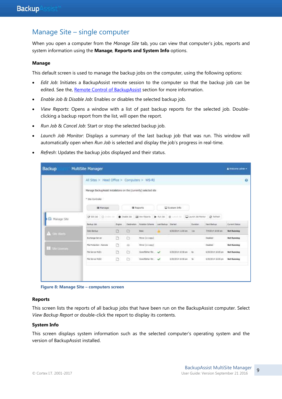# Manage Site – single computer

When you open a computer from the *Manage Site* tab, you can view that computer's jobs, reports and system information using the **Manage**, **Reports and System Info** options.

#### **Manage**

This default screen is used to manage the backup jobs on the computer, using the following options:

- *Edit Job*: Initiates a BackupAssist remote session to the computer so that the backup job can be edited. See the, [Remote Control of BackupAssist](#page-12-0) section for more information.
- *Enable Job & Disable Job*: Enables or disables the selected backup job.
- *View Reports*: Opens a window with a list of past backup reports for the selected job. Doubleclicking a backup report from the list, will open the report.
- *Run Job* & *Cancel Job*: Start or stop the selected backup job.
- *Launch Job Monitor*: Displays a summary of the last backup job that was run. This window will automatically open when *Run Job* is selected and display the job's progress in real-time.
- *Refresh*: Updates the backup jobs displayed and their status.

| <b>Backup</b>        | MultiSite Manager                                                                     |              |             |                                                 |                           |                     |                    | A Welcome admin =     |
|----------------------|---------------------------------------------------------------------------------------|--------------|-------------|-------------------------------------------------|---------------------------|---------------------|--------------------|-----------------------|
|                      | All Sites > Head Office > Computers > WS-RI                                           |              |             |                                                 |                           |                     |                    | $\boldsymbol{\Theta}$ |
|                      | Manage BackupAssist instalations on the (currently) selected site<br>* Ste Controller |              |             |                                                 |                           |                     |                    |                       |
|                      | <b>Manage</b>                                                                         |              |             | 置 Reports                                       | System Info               |                     |                    |                       |
| Manage Site          | P 60130 Q (MAIL )                                                                     |              | Disable 300 | Lat Ven Reports   Mun Job   @ Committee         |                           | Laurich Job Monitor | C listesty         |                       |
|                      | Backup 2sb                                                                            | <b>Eigne</b> |             | Destruction Notation Scheme Last Backup Started |                           | Duration            | Next Bachup        | Current Status        |
| <b>A</b> Sile Alerts | Delly Backup                                                                          | Ð            | G           | Basic                                           | 6/30/2014 11:00 am        | 538                 | 7/4/2014 30:00 am  | <b>Not Running</b>    |
|                      | Exchange Server                                                                       | O            | D           | Merse (1:1 cape)                                |                           |                     | Daabled            | <b>Not Running</b>    |
| Ste Lioman           | Fle Protectori - Namzite                                                              | n            | ۵           | Meine (1:1 cars)                                |                           |                     | Daabled            | <b>Not Running</b>    |
|                      | File Server MLB1                                                                      | Ð            | O.          | Grandfather-fat., v                             | 6/30/2014 30:56 am - file |                     | 6/30/2014 10:00 pm | <b>Not Running</b>    |
|                      | File Server MLB2                                                                      | Ð            | n           | Gwidfathe-fat.                                  | 4/30/2014 10:56 am Sr.    |                     | 6/30/2014 10:00 pm | <b>Not Running</b>    |
|                      |                                                                                       |              |             |                                                 |                           |                     |                    |                       |
|                      |                                                                                       |              |             |                                                 |                           |                     |                    |                       |

**Figure 8: Manage Site – computers screen**

#### **Reports**

This screen lists the reports of all backup jobs that have been run on the BackupAssist computer. Select *View Backup Report* or double-click the report to display its contents.

#### **System Info**

This screen displays system information such as the selected computer's operating system and the version of BackupAssist installed.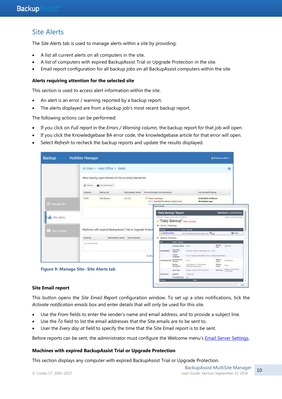# Site Alerts

The *Site Alerts* tab is used to manage alerts within a site by providing:

- A list all current alerts on all computers in the site.
- A list of computers with expired BackupAssist Trial or Upgrade Protection in the site.
- Email report configuration for all backup jobs on all BackupAssist computers within the site

#### **Alerts requiring attention for the selected site**

This section is used to access alert information within the site.

- An alert is an error / warning reported by a backup report.
- The alerts displayed are from a backup job's most recent backup report.

The following actions can be performed:

- If you click on *Full report* in the *Errors / Warning column,* the backup report for that job will open.
- If you click the Knowledgebase BA error code, the knowledgebase article for that error will open.
- Select *Refresh* to recheck the backup reports and update the results displayed.

|                                                                        |                | All Sites > Head Office > Alerts |                                                                                                     |                          |                                                                                                                                 |                                      |                                                                      |                                  | $\Omega$                                                      |
|------------------------------------------------------------------------|----------------|----------------------------------|-----------------------------------------------------------------------------------------------------|--------------------------|---------------------------------------------------------------------------------------------------------------------------------|--------------------------------------|----------------------------------------------------------------------|----------------------------------|---------------------------------------------------------------|
|                                                                        | C Refrest      | Si Site Email Report             | Nerts requiring urgent attention for the (currently) selected site                                  |                          |                                                                                                                                 |                                      |                                                                      |                                  |                                                               |
|                                                                        | Computer       | Rackup Job.                      | Birds.pAbilit.Versen                                                                                |                          | Emm/Wermgx From Last Saduat                                                                                                     |                                      | Last Successful Backup                                               |                                  |                                                               |
|                                                                        | 9540           | Daily Backup                     | 8.8.141                                                                                             | <b>E. Hater-warnings</b> | (iii.7):) Specified file selection doesn't exert                                                                                |                                      | 6/30/2014 11:00 am<br>48 minutes ago                                 |                                  |                                                               |
| El Kanson Sito                                                         |                |                                  |                                                                                                     | Fid-1                    | <b>Expost Delate</b>                                                                                                            |                                      |                                                                      |                                  |                                                               |
| Site Alerts                                                            |                |                                  |                                                                                                     |                          | 'Daily Backup" Report<br>metter, bushes look in hits contacts.                                                                  |                                      |                                                                      |                                  | Backup to: Local directors<br>Baltist Tries File Printed bill |
|                                                                        | Corputer       |                                  | Machines with expired BackupAssist Trial or Upgrade Protect<br>Backup Fastel Versurt Last Contacted |                          | <b>A</b> "Daily Backup" <b>Basic washing</b><br>A Errori / Warnings<br>$m = 1$<br><b>2. Arteston Climate</b><br>- Badop Semmary |                                      | <b>District College</b><br>Selli familiet to execter mort suit Quine |                                  |                                                               |
|                                                                        |                |                                  |                                                                                                     |                          |                                                                                                                                 | <b>Seattle P Roomer</b>              |                                                                      |                                  | <b>Q</b> lister                                               |
|                                                                        | Normalis found |                                  |                                                                                                     |                          |                                                                                                                                 | European bank 1994                   |                                                                      | <b>Backrap</b><br><b>Electri</b> | CORNER                                                        |
|                                                                        |                |                                  |                                                                                                     |                          | <b>GW/BOILERINT</b>                                                                                                             | tieriakna<br><b>ByMANY</b>           | Stressed Greenweil 7 Stressed II (27) - Stated                       |                                  |                                                               |
|                                                                        |                |                                  |                                                                                                     | 0.201                    |                                                                                                                                 | Locate !<br>Longonze                 | an call: Al-Jack 10 deal (bank)   en c/E : Angleri d.htmd thome)     |                                  |                                                               |
|                                                                        |                |                                  |                                                                                                     |                          | <b>COMPAGNINATION</b>                                                                                                           | <b>Bachuphases</b><br><b>Vehicle</b> | $14.3 + 0.00$                                                        | <b>Saskup</b><br>Types.          | Fis President                                                 |
|                                                                        |                |                                  |                                                                                                     |                          |                                                                                                                                 | Betkup:<br><b>Dewonation</b>         | Local Directory - L'ITSAR Element<br>dealership they because         | flation<br>Lake!                 | <b>TYMES</b>                                                  |
| <b>TR</b> She Cleaner<br><b>Figure 9: Manage Site- Site Alerts tab</b> |                |                                  |                                                                                                     |                          |                                                                                                                                 | <b>Start Time</b>                    | Montag: 23/6/30, 223-9 11:00:48 AAV                                  | <b>Shel Time:</b>                | TORNE (104 74, 2212)<br>TEREMAN!                              |

#### **Site Email report**

This button opens the *Site Email Report* configuration window. To set up a sites notifications, tick the *Activate notification emails* box and enter details that will only be used for this site.

- Use the *From* fields to enter the sender's name and email address, and to provide a subject line.
- Use the *To* field to list the email addresses that the Site emails are to be sent to.
- User the *Every day at* field to specify the time that the Site Email report is to be sent.

Before reports can be sent, the administrator must configure the Welcome menu's **Email Server Settings**.

#### **Machines with expired BackupAssist Trial or Upgrade Protection**

This section displays any computer with expired BackupAssist Trial or Upgrade Protection.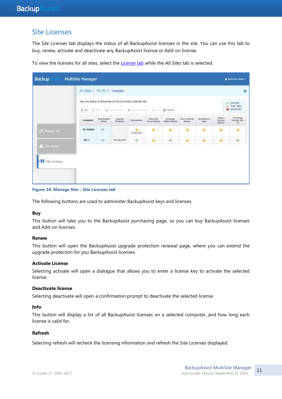## <span id="page-11-0"></span>Site Licenses

The *Site Licenses* tab displays the status of all BackupAssist licenses in the site. You can use this tab to buy, renew, activate and deactivate any BackupAssist license or Add-on license.

| Backup                        | <b>MultiSite Manager</b>     |                         |                       |                                                                 |                             |                                         |                          |                       |                                        | A Welcome admin =               |
|-------------------------------|------------------------------|-------------------------|-----------------------|-----------------------------------------------------------------|-----------------------------|-----------------------------------------|--------------------------|-----------------------|----------------------------------------|---------------------------------|
|                               | All Sites > My PC > Licenses |                         |                       |                                                                 |                             |                                         |                          |                       |                                        | $\Omega$                        |
|                               |                              |                         |                       | Vew the status of all licenses on the (currently) selected site |                             |                                         |                          |                       |                                        | V Licensed<br>Trüf / Beta       |
|                               |                              |                         | <b>TILL ITT</b>       | \$ for \$ firm attentioner a becoming \$ 10.                    |                             | C Refields                              |                          |                       |                                        | <b>O</b> Unicersed              |
|                               | Computer.                    | Badouskesist<br>Version | Upgrace<br>Profession | <b>SudupAanst</b>                                               | Native SQL<br>Server Backup | <b>Exchange</b><br><b>Halbox Batkup</b> | Reyns Internet<br>Backup | Zo fission to<br>Tape | $H_1$ pper- $V$<br>Granular<br>Restore | Exchange<br>Granular Add<br>$2$ |
| E Manage Site                 | 1H-2008R2                    | 8.0.                    | œ                     | A<br>93 days left                                               | A                           | $\Delta$                                | A                        | A                     | А                                      | $\Delta$                        |
|                               | $WS-3$                       | in.                     | S41 days left         | $\checkmark$                                                    | Δ.                          | $\checkmark$                            | Δ                        | Δ                     | Δ                                      | $\checkmark$                    |
| A Ste Alerti<br>Site Licenses |                              |                         |                       |                                                                 |                             |                                         |                          |                       |                                        |                                 |

To view the licenses for all sites, select the *[License](#page-5-0)* tab while the *All Sites* tab is selected.

#### **Figure 10: Manage Site – Site Licenses tab**

The following buttons are used to administer BackupAssist keys and licenses.

#### **Buy**

This button will take you to the BackupAssist purchasing page, so you can buy BackupAssist licenses and Add-on licenses.

#### **Renew**

This button will open the BackupAssist upgrade protection renewal page, where you can extend the upgrade protection for you BackupAssist licenses.

#### **Activate License**

Selecting activate will open a dialogue that allows you to enter a license key to activate the selected license.

#### **Deactivate license**

Selecting deactivate will open a confirmation prompt to deactivate the selected license.

#### **Info**

This button will display a list of all BackupAssist licenses on a selected computer, and how long each license is valid for.

#### **Refresh**

Selecting refresh will recheck the licensing information and refresh the Site Licenses displayed.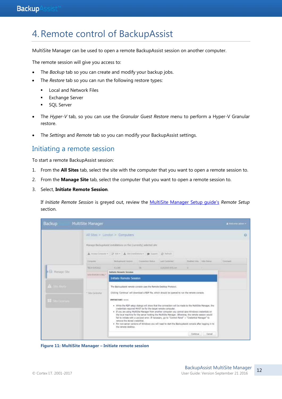# <span id="page-12-0"></span>4.Remote control of BackupAssist

MultiSite Manager can be used to open a remote BackupAssist session on another computer.

The remote session will give you access to:

- The *Backup* tab so you can create and modify your backup jobs.
- The *Restore* tab so you can run the following restore types:
	- **Local and Network Files**
	- **Exchange Server**
	- **SQL Server**
- The *Hyper-V* tab, so you can use the *Granular Guest Restore* menu to perform a Hyper-V Granular restore.
- The *Settings* and *Remote* tab so you can modify your BackupAssist settings.

### Initiating a remote session

To start a remote BackupAssist session:

- 1. From the **All Sites** tab, select the site with the computer that you want to open a remote session to.
- 2. From the **Manage Site** tab, select the computer that you want to open a remote session to.
- 3. Select, **Initiate Remote Session**.

If *Initiate Remote Session* is greyed out, review the [MultiSite Manager Setup guide's](http://www.backupassist.com/education/v9/multisite-manager/multisite-manager-setup-guide.html) *Remote Setup* section.

| <b>Backup</b>                           | MultiSite Manager     |                                                                                                                                                                                                                                                                                |                                                              |                                                                                                                                                                                                                                                                                                                                                                                                                                                                                                                                                                                   |                            |                  | A Weight when + |
|-----------------------------------------|-----------------------|--------------------------------------------------------------------------------------------------------------------------------------------------------------------------------------------------------------------------------------------------------------------------------|--------------------------------------------------------------|-----------------------------------------------------------------------------------------------------------------------------------------------------------------------------------------------------------------------------------------------------------------------------------------------------------------------------------------------------------------------------------------------------------------------------------------------------------------------------------------------------------------------------------------------------------------------------------|----------------------------|------------------|-----------------|
|                                         |                       | All Sites > London > Computers                                                                                                                                                                                                                                                 |                                                              |                                                                                                                                                                                                                                                                                                                                                                                                                                                                                                                                                                                   |                            |                  | o               |
|                                         |                       | Hanage BackupAusist installations on the (currently) wlected site:                                                                                                                                                                                                             |                                                              |                                                                                                                                                                                                                                                                                                                                                                                                                                                                                                                                                                                   |                            |                  |                 |
|                                         |                       | A temperature (Files, A intendence, @ temp. 2) temp-                                                                                                                                                                                                                           |                                                              |                                                                                                                                                                                                                                                                                                                                                                                                                                                                                                                                                                                   |                            |                  |                 |
|                                         | Corpolat              | the baskster vacuum                                                                                                                                                                                                                                                            | <b>Premierting Highan</b>                                    | Last Clarksmall                                                                                                                                                                                                                                                                                                                                                                                                                                                                                                                                                                   | Highlad Isla - Suba Status |                  | <b>Convent</b>  |
|                                         | TECHNOLOGIC           | 13.0HD                                                                                                                                                                                                                                                                         | <b>STAR</b>                                                  | <b>ILIGIDITE BIEL BW</b>                                                                                                                                                                                                                                                                                                                                                                                                                                                                                                                                                          | The company of the company |                  |                 |
| <b>Girl Miniage Site</b>                | WISH CRISIS AVAILABLE | Initiate Restate Session                                                                                                                                                                                                                                                       |                                                              |                                                                                                                                                                                                                                                                                                                                                                                                                                                                                                                                                                                   |                            |                  |                 |
| <b>N</b> Sale Arabi<br><b>Financial</b> | * Time Controller     | <b>Initiate Remote Session</b><br>The BackupAssist remote console uses the Remote Desktop Protocol.<br>Cicking 'Continue' will download a RDP file, which should be opened to run the remote consule<br>IMPORTANT: <<<<br>renove the stored cretential.<br>the remote desktop. | credentials required MUST be for the target remote computer. | . While the RDP setup dialogs will show that the connection will be made to the MultiSite Manager, the<br>. If you are using MultiSite Manager from another computer you cannot save Windows credentials on<br>the local machine for the server hosting the MultiSite Manager. Otherwise, the remote session would<br>fall to initiate with a usr/pwd error. If necessary, go to "Control Panel" > "Credential Manager" to<br>. For non-server versions of Windows you will need to start the BackupAssist console after logging in to<br>12. 학자 4. 5-1 A B M H good shows a said |                            | Ciritinue Cancel |                 |

**Figure 11: MultiSite Manager – Initiate remote session**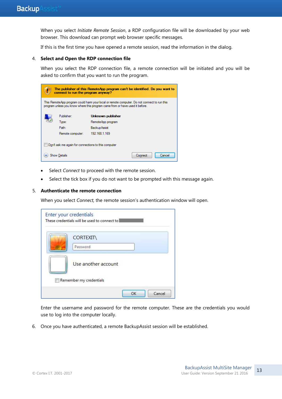When you select *Initiate Remote Session*, a RDP configuration file will be downloaded by your web browser. This download can prompt web browser specific messages.

If this is the first time you have opened a remote session, read the information in the dialog.

#### 4. **Select and Open the RDP connection file**

When you select the RDP connection file, a remote connection will be initiated and you will be asked to confirm that you want to run the program.

|                                                                                                 | The publisher of this RemoteApp program can't be identified. Do you want to<br>connect to run the program anyway?                                                           |                     |  |  |  |  |
|-------------------------------------------------------------------------------------------------|-----------------------------------------------------------------------------------------------------------------------------------------------------------------------------|---------------------|--|--|--|--|
|                                                                                                 | This RemoteApp program could harm your local or remote computer. Do not connect to run this<br>program unless you know where this program came from or have used it before. |                     |  |  |  |  |
|                                                                                                 | Publisher:                                                                                                                                                                  | Unknown publisher   |  |  |  |  |
|                                                                                                 | Type:                                                                                                                                                                       | RemoteApp program   |  |  |  |  |
|                                                                                                 | Path:                                                                                                                                                                       | <b>BackupAssist</b> |  |  |  |  |
|                                                                                                 | Remote computer:                                                                                                                                                            | 192.168.1.169       |  |  |  |  |
| Don't ask me again for connections to this computer<br><b>Show Details</b><br>Connect<br>Cancel |                                                                                                                                                                             |                     |  |  |  |  |

- Select *Connect* to proceed with the remote session.
- Select the tick box if you do not want to be prompted with this message again.

#### 5. **Authenticate the remote connection**

When you select *Connect,* the remote session's authentication window will open.

| <b>CORTEXIT\</b><br>Password |
|------------------------------|
| Use another account          |

Enter the username and password for the remote computer. These are the credentials you would use to log into the computer locally.

6. Once you have authenticated, a remote BackupAssist session will be established.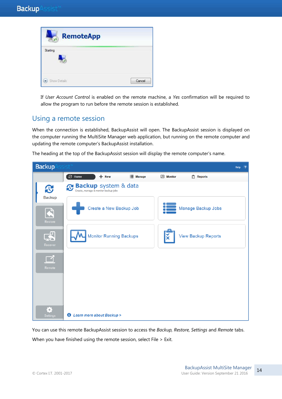| <b>CASTLE OF</b><br><b>RemoteApp</b> |        |
|--------------------------------------|--------|
| Starting                             |        |
| Show Details                         | Cancel |

If *User Account Control* is enabled on the remote machine, a *Yes* confirmation will be required to allow the program to run before the remote session is established.

# Using a remote session

When the connection is established, BackupAssist will open. The BackupAssist session is displayed on the computer running the MultiSite Manager web application, but running on the remote computer and updating the remote computer's BackupAssist installation.

The heading at the top of the BackupAssist session will display the remote computer's name.

| <b>Backup</b> Assist <sup>®</sup> |                                                              | Help<br>2           |
|-----------------------------------|--------------------------------------------------------------|---------------------|
|                                   | <b>C</b> Home<br>$+$ New<br><b>E</b> Manage<br>$M$ Monitor   | $ \vec{x} $ Reports |
| $\mathbf{C}$                      | Backup system & data<br>Create, manage & monitor backup jobs |                     |
| <b>Backup</b><br>Restore          | Create a New Backup Job                                      | Manage Backup Jobs  |
| $\mathbf{E}$<br>Recover           | <b>Monitor Running Backups</b>                               | View Backup Reports |
| Remote                            |                                                              |                     |
| ☆                                 |                                                              |                     |
| <b>Settings</b>                   | <b>1</b> Learn more about Backup >                           |                     |

You can use this remote BackupAssist session to access the *Backup, Restore, Settings* and *Remote* tabs. When you have finished using the remote session, select File > Exit.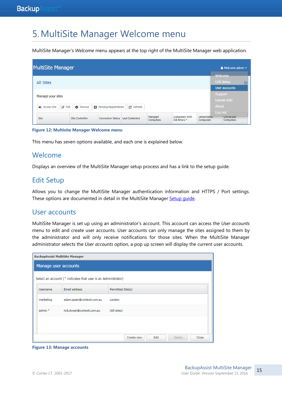# 5.MultiSite Manager Welcome menu

MultiSite Manager's *Welcome* menu appears at the top right of the MultiSite Manager web application.

| <b>MultiSite Manager</b> |                               |                 |                          |                |                      |                                |                          |                | & Welcome admin -       |  |
|--------------------------|-------------------------------|-----------------|--------------------------|----------------|----------------------|--------------------------------|--------------------------|----------------|-------------------------|--|
|                          |                               |                 |                          |                |                      |                                |                          | Welcome        |                         |  |
| <b>All Sites</b>         |                               |                 |                          |                |                      |                                |                          |                | <b>Edit Setup</b>       |  |
|                          |                               |                 |                          |                |                      |                                |                          |                | User accounts           |  |
| Manage your sites        |                               |                 |                          |                |                      |                                |                          | <b>Support</b> |                         |  |
|                          |                               |                 |                          |                |                      |                                |                          |                | License Info            |  |
| → Access Site            | $\overline{\mathscr{A}}$ Edit | <b>C</b> Remove | Pending Registrations    | C Refresh      |                      |                                |                          | About          |                         |  |
|                          |                               |                 |                          |                |                      |                                |                          | Log out        |                         |  |
| <b>Site</b>              |                               | Site Controller | <b>Connection Status</b> | Last Contacted | Managed<br>Computers | Computers With<br>Job Errors * | Unreachable<br>Computers |                | Unlicensed<br>Computers |  |

**Figure 12: Multisite Manager Welcome menu**

This menu has seven options available, and each one is explained below.

### Welcome

Displays an overview of the MultiSite Manager setup process and has a link to the setup guide.

# Edit Setup

Allows you to change the MultiSite Manager authentication information and HTTPS / Port settings. These options are documented in detail in the MultiSite Manager Setup quide.

## User accounts

MultiSite Manager is set up using an administrator's account. This account can access the *User accounts* menu to edit and create user accounts. User accounts can only manage the sites assigned to them by the administrator and will only receive notifications for those sites. When the MultiSite Manager administrator selects the *User accounts* option, a pop up screen will display the current user accounts.

| <b>BackupAssist MultiSite Manager</b>                         |                            |                                       |  |  |  |
|---------------------------------------------------------------|----------------------------|---------------------------------------|--|--|--|
| Manage user accounts                                          |                            |                                       |  |  |  |
| Select an account (* indicates that user is an Administrator) |                            |                                       |  |  |  |
| <b>Username</b>                                               | Email address              | Permitted Site(s)                     |  |  |  |
| marketing                                                     | adam.ipsen@cortexit.com.au | London                                |  |  |  |
| $admin *$                                                     | rick.dwyer@cortexit.com.au | (All sites)                           |  |  |  |
|                                                               |                            |                                       |  |  |  |
|                                                               |                            |                                       |  |  |  |
|                                                               |                            | Edit<br>Delete<br>Close<br>Create new |  |  |  |

**Figure 13: Manage accounts**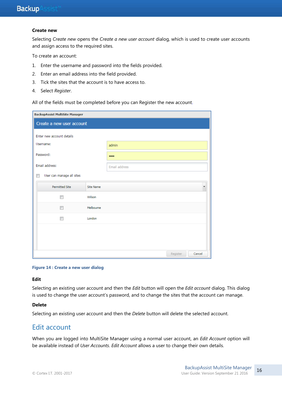#### **Create new**

Selecting *Create new* opens the *Create a new user account* dialog, which is used to create user accounts and assign access to the required sites.

To create an account:

- 1. Enter the username and password into the fields provided.
- 2. Enter an email address into the field provided.
- 3. Tick the sites that the account is to have access to.
- 4. Select *Register*.

All of the fields must be completed before you can Register the new account.

| <b>BackupAssist MultiSite Manager</b> |           |               |          |        |
|---------------------------------------|-----------|---------------|----------|--------|
| Create a new user account             |           |               |          |        |
| Enter new account details             |           |               |          |        |
| Username:                             |           | admin         |          |        |
| Password:                             |           |               |          |        |
| Email address:                        |           | Email address |          |        |
| User can manage all sites<br>$\Box$   |           |               |          |        |
| <b>Permitted Site</b>                 | Site Name |               |          |        |
|                                       | Wilson    |               |          |        |
| П                                     | Melbourne |               |          |        |
| П                                     | London    |               |          |        |
|                                       |           |               |          |        |
|                                       |           |               |          |        |
|                                       |           |               | Register | Cancel |

#### **Figure 14 : Create a new user dialog**

#### **Edit**

Selecting an existing user account and then the *Edit* button will open the *Edit account* dialog. This dialog is used to change the user account's password, and to change the sites that the account can manage.

#### **Delete**

Selecting an existing user account and then the *Delete* button will delete the selected account.

## Edit account

When you are logged into MultiSite Manager using a normal user account, an *Edit Account* option will be available instead of *User Accounts*. *Edit Account* allows a user to change their own details.